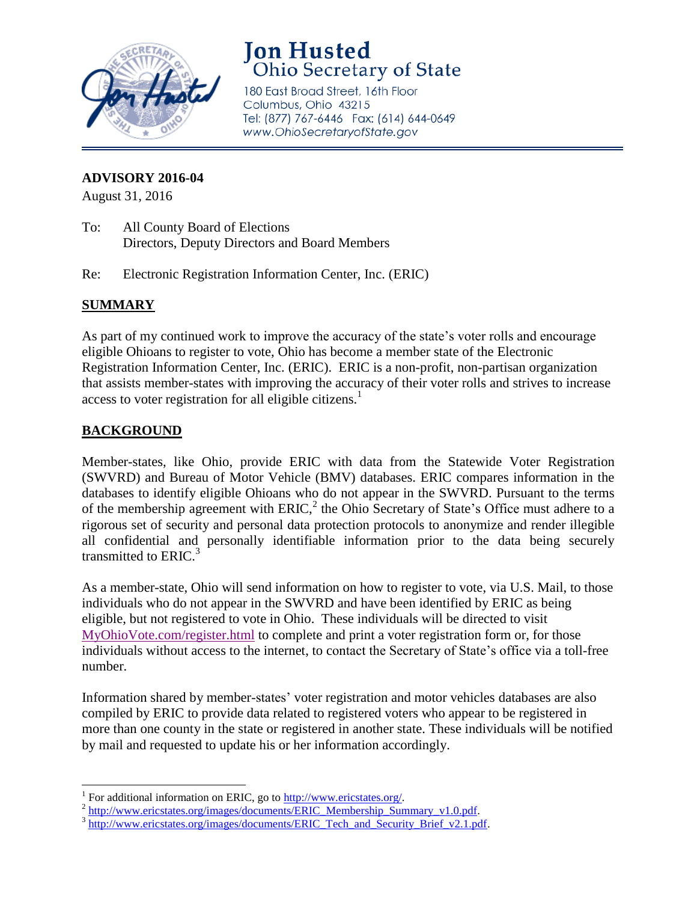

# **Jon Husted Ohio Secretary of State**

180 East Broad Street, 16th Floor Columbus, Ohio 43215 Tel: (877) 767-6446 Fax: (614) 644-0649 www.OhioSecretaryofState.gov

#### **ADVISORY 2016-04**

August 31, 2016

- To: All County Board of Elections Directors, Deputy Directors and Board Members
- Re: Electronic Registration Information Center, Inc. (ERIC)

## **SUMMARY**

As part of my continued work to improve the accuracy of the state's voter rolls and encourage eligible Ohioans to register to vote, Ohio has become a member state of the Electronic Registration Information Center, Inc. (ERIC). ERIC is a non-profit, non-partisan organization that assists member-states with improving the accuracy of their voter rolls and strives to increase access to voter registration for all eligible citizens.<sup>1</sup>

## **BACKGROUND**

Member-states, like Ohio, provide ERIC with data from the Statewide Voter Registration (SWVRD) and Bureau of Motor Vehicle (BMV) databases. ERIC compares information in the databases to identify eligible Ohioans who do not appear in the SWVRD. Pursuant to the terms of the membership agreement with  $ERIC<sub>l</sub><sup>2</sup>$  the Ohio Secretary of State's Office must adhere to a rigorous set of security and personal data protection protocols to anonymize and render illegible all confidential and personally identifiable information prior to the data being securely transmitted to  $ERIC<sup>3</sup>$ 

As a member-state, Ohio will send information on how to register to vote, via U.S. Mail, to those individuals who do not appear in the SWVRD and have been identified by ERIC as being eligible, but not registered to vote in Ohio. These individuals will be directed to visit [MyOhioVote.com/register.html](http://r20.rs6.net/tn.jsp?f=001Czpg_QeSEyJJiaGB_sOZFAat7XTfSHm0BE7PBPazEDcPLNHVSL7hF1N54oldJjwMnohV2KuUVANt19Hfo9PGwcRGDfH0acUQGB_nvnNvX8sRFoue4BmFIb6Ra2gamPNvXeS4ZnsApT5Jl0BxYuM4RIf-F0BOwbsYc1KKoUWxsF8=&c=Eg-zv4ls3NLYaSdpCINEuQnOpgFVKkNtOuwrAXHHdleHYUiQg5sm4g==&ch=w42vnsoLXZNEDX6XueH8WN73duOAlY0YDPYrq0L9Iwkfdl2l_VvV2g==) to complete and print a voter registration form or, for those individuals without access to the internet, to contact the Secretary of State's office via a toll-free number.

Information shared by member-states' voter registration and motor vehicles databases are also compiled by ERIC to provide data related to registered voters who appear to be registered in more than one county in the state or registered in another state. These individuals will be notified by mail and requested to update his or her information accordingly.

<sup>&</sup>lt;sup>1</sup> For additional information on ERIC, go to [http://www.ericstates.org/.](http://www.ericstates.org/)

<sup>&</sup>lt;sup>2</sup> http://www.ericstates.org/images/documents/ERIC\_Membership\_Summary\_v1.0.pdf.

<sup>&</sup>lt;sup>3</sup> [http://www.ericstates.org/images/documents/ERIC\\_Tech\\_and\\_Security\\_Brief\\_v2.1.pdf.](http://www.ericstates.org/images/documents/ERIC_Tech_and_Security_Brief_v2.1.pdf)